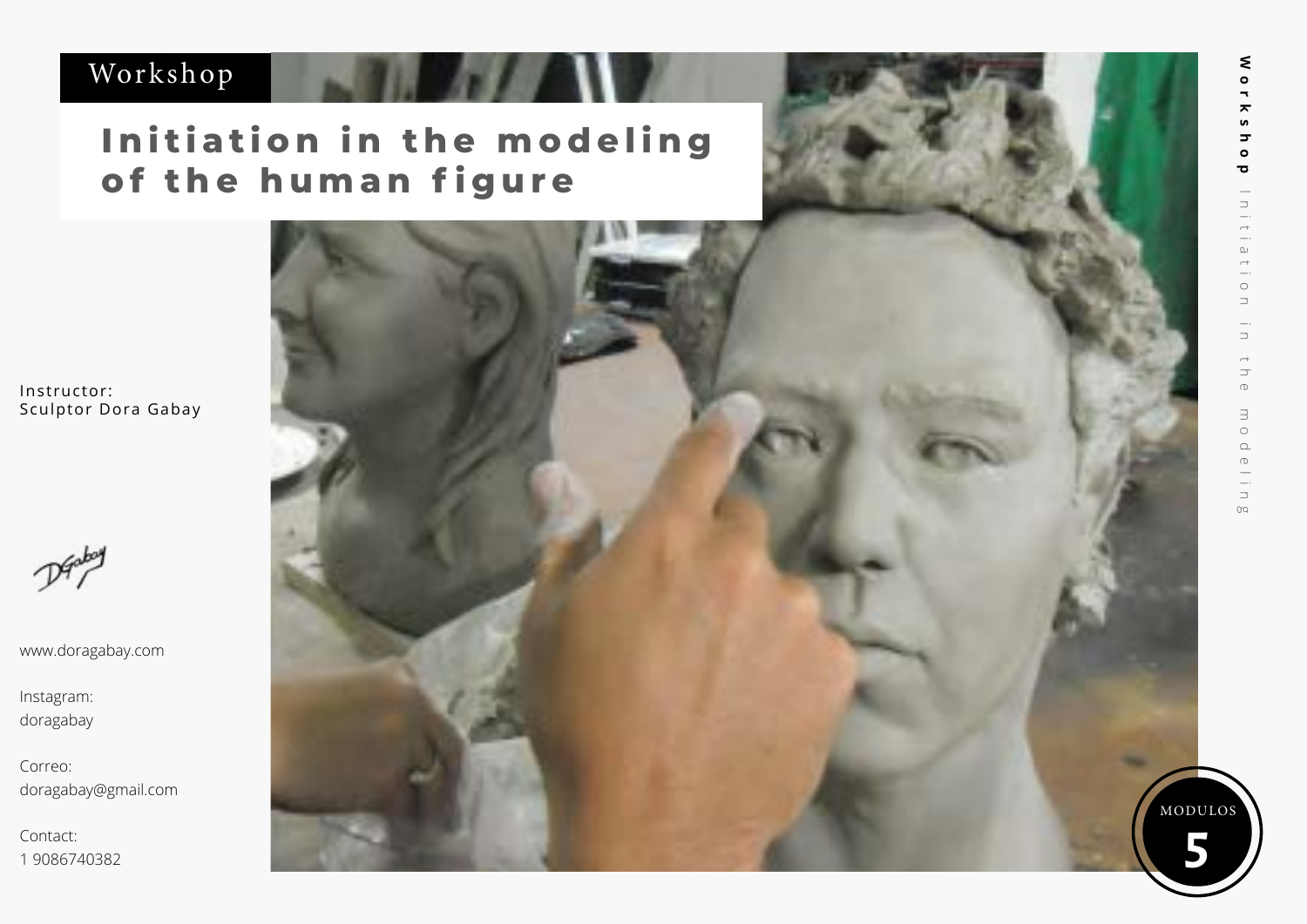## Workshop

## *// NO. 01* **of the human figure Initiation in the modeling**

Instructor: Sculptor Dora Gabay

www.doragabay.com

Instagram: doragabay

Correo: doragabay@gmail.com

Contact: 1 9086740382

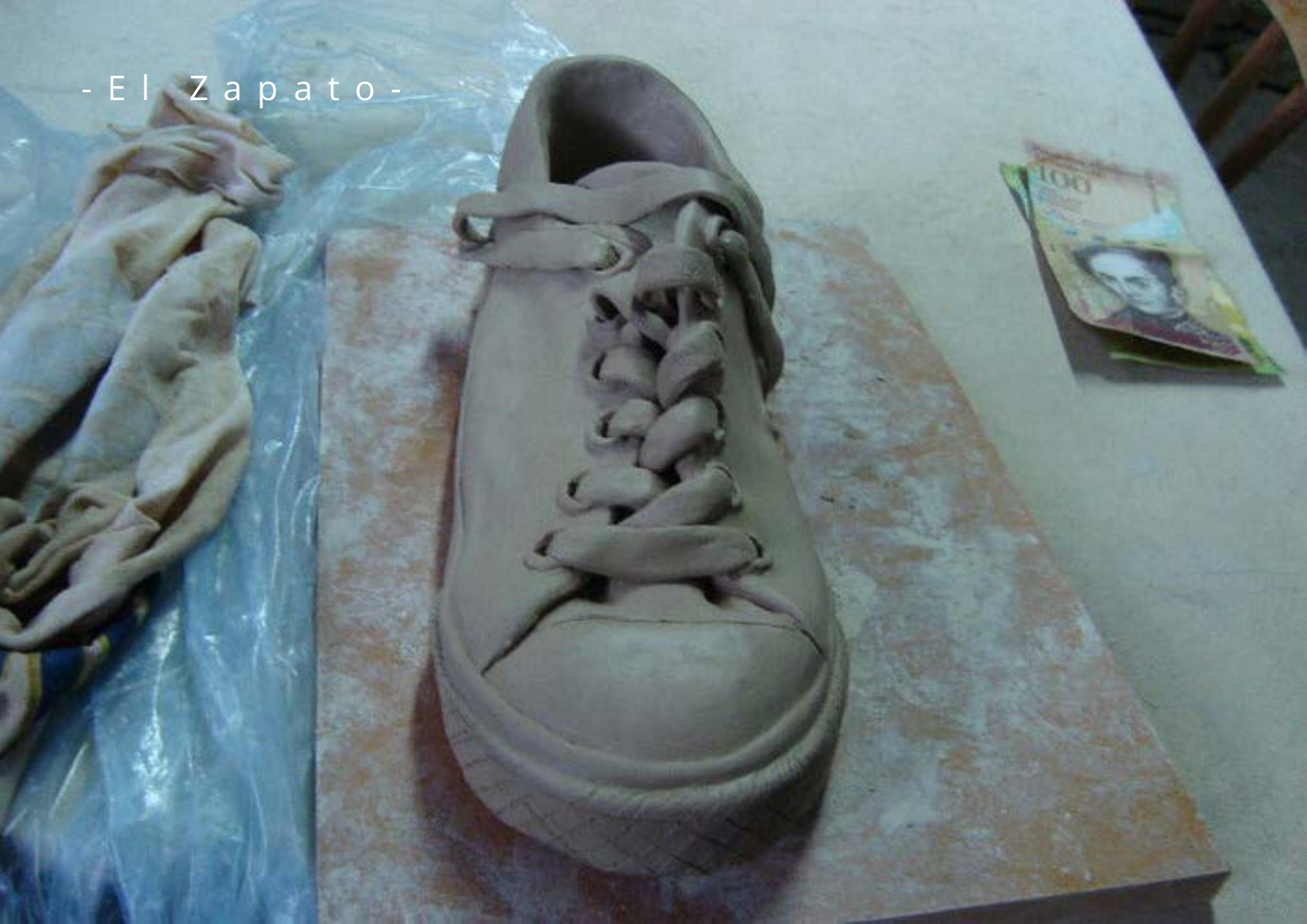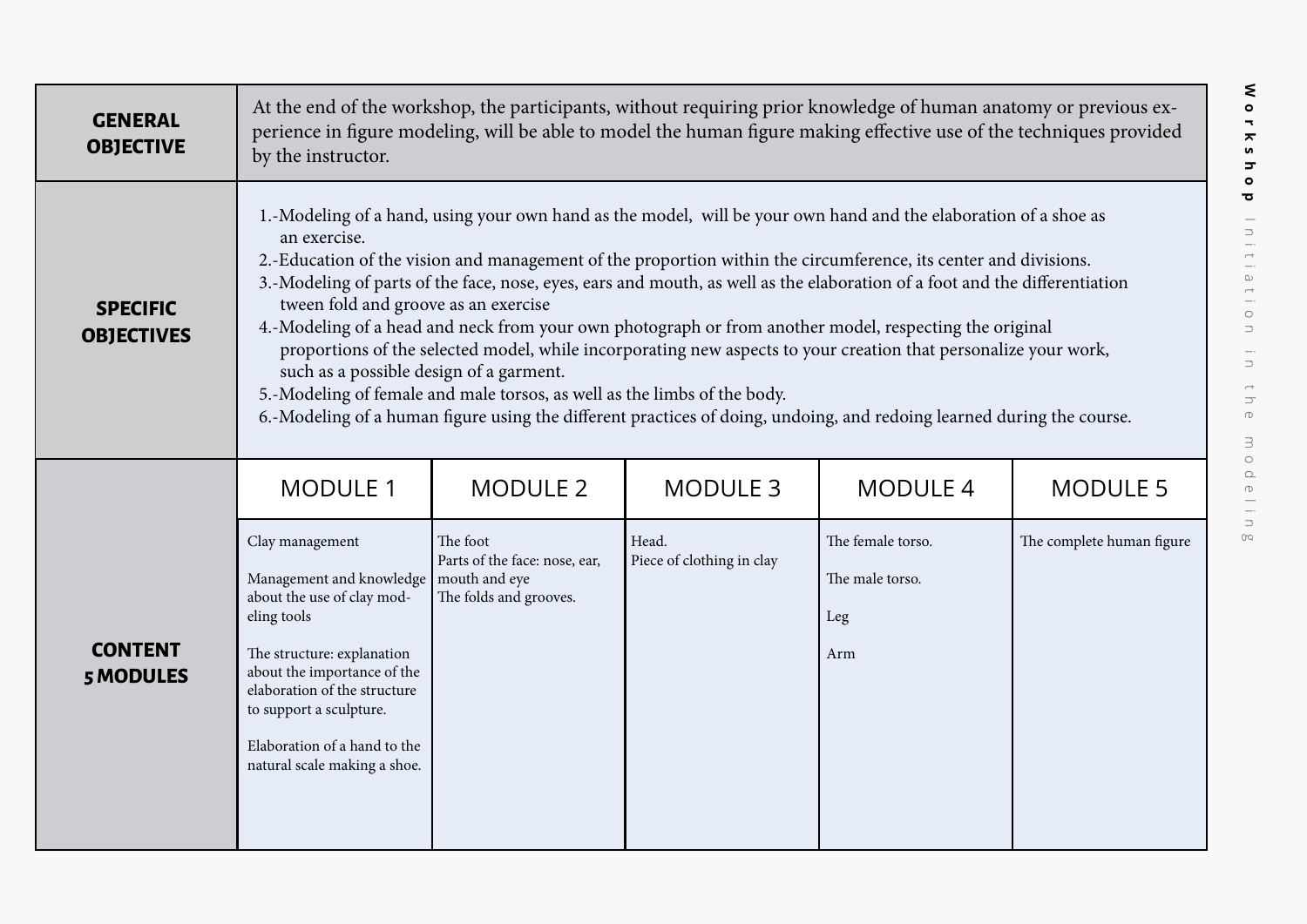| <b>GENERAL</b><br><b>OBJECTIVE</b>   | At the end of the workshop, the participants, without requiring prior knowledge of human anatomy or previous ex-<br>perience in figure modeling, will be able to model the human figure making effective use of the techniques provided<br>by the instructor.                                                                                                                                                                                                                                                                                                                                                                                                                                                                                                                                                                                                                                         |                                                                                      |                                    |                                                    |                           |  |  |
|--------------------------------------|-------------------------------------------------------------------------------------------------------------------------------------------------------------------------------------------------------------------------------------------------------------------------------------------------------------------------------------------------------------------------------------------------------------------------------------------------------------------------------------------------------------------------------------------------------------------------------------------------------------------------------------------------------------------------------------------------------------------------------------------------------------------------------------------------------------------------------------------------------------------------------------------------------|--------------------------------------------------------------------------------------|------------------------------------|----------------------------------------------------|---------------------------|--|--|
| <b>SPECIFIC</b><br><b>OBJECTIVES</b> | 1.-Modeling of a hand, using your own hand as the model, will be your own hand and the elaboration of a shoe as<br>an exercise.<br>2.-Education of the vision and management of the proportion within the circumference, its center and divisions.<br>3.-Modeling of parts of the face, nose, eyes, ears and mouth, as well as the elaboration of a foot and the differentiation<br>tween fold and groove as an exercise<br>4.-Modeling of a head and neck from your own photograph or from another model, respecting the original<br>proportions of the selected model, while incorporating new aspects to your creation that personalize your work,<br>such as a possible design of a garment.<br>5.-Modeling of female and male torsos, as well as the limbs of the body.<br>6.-Modeling of a human figure using the different practices of doing, undoing, and redoing learned during the course. |                                                                                      |                                    |                                                    |                           |  |  |
|                                      | <b>MODULE 1</b>                                                                                                                                                                                                                                                                                                                                                                                                                                                                                                                                                                                                                                                                                                                                                                                                                                                                                       | <b>MODULE 2</b>                                                                      | <b>MODULE 3</b>                    | <b>MODULE 4</b>                                    | <b>MODULE 5</b>           |  |  |
| <b>CONTENT</b><br><b>5 MODULES</b>   | Clay management<br>Management and knowledge<br>about the use of clay mod-<br>eling tools<br>The structure: explanation<br>about the importance of the<br>elaboration of the structure<br>to support a sculpture.<br>Elaboration of a hand to the<br>natural scale making a shoe.                                                                                                                                                                                                                                                                                                                                                                                                                                                                                                                                                                                                                      | The foot<br>Parts of the face: nose, ear,<br>mouth and eye<br>The folds and grooves. | Head.<br>Piece of clothing in clay | The female torso.<br>The male torso.<br>Leg<br>Arm | The complete human figure |  |  |

**Workshop**

 $\overline{\mathbf{c}}$ 

Worksho

I n i t i a

 t i o n $\overline{\phantom{m}}$ n

t<br>J e $\exists$  o $\Omega$ 

e |<br>|<br>|<br>|

 $\alpha$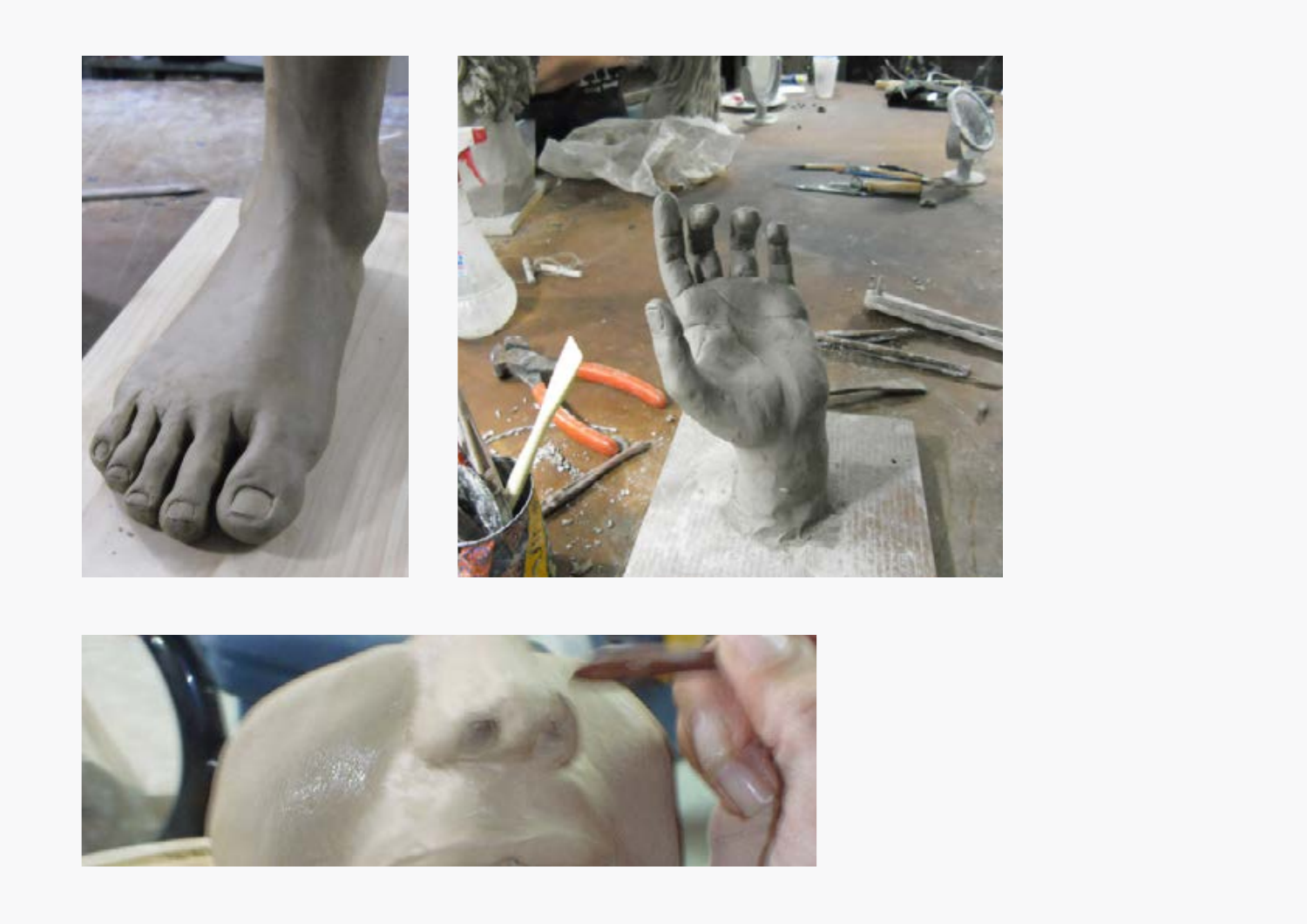



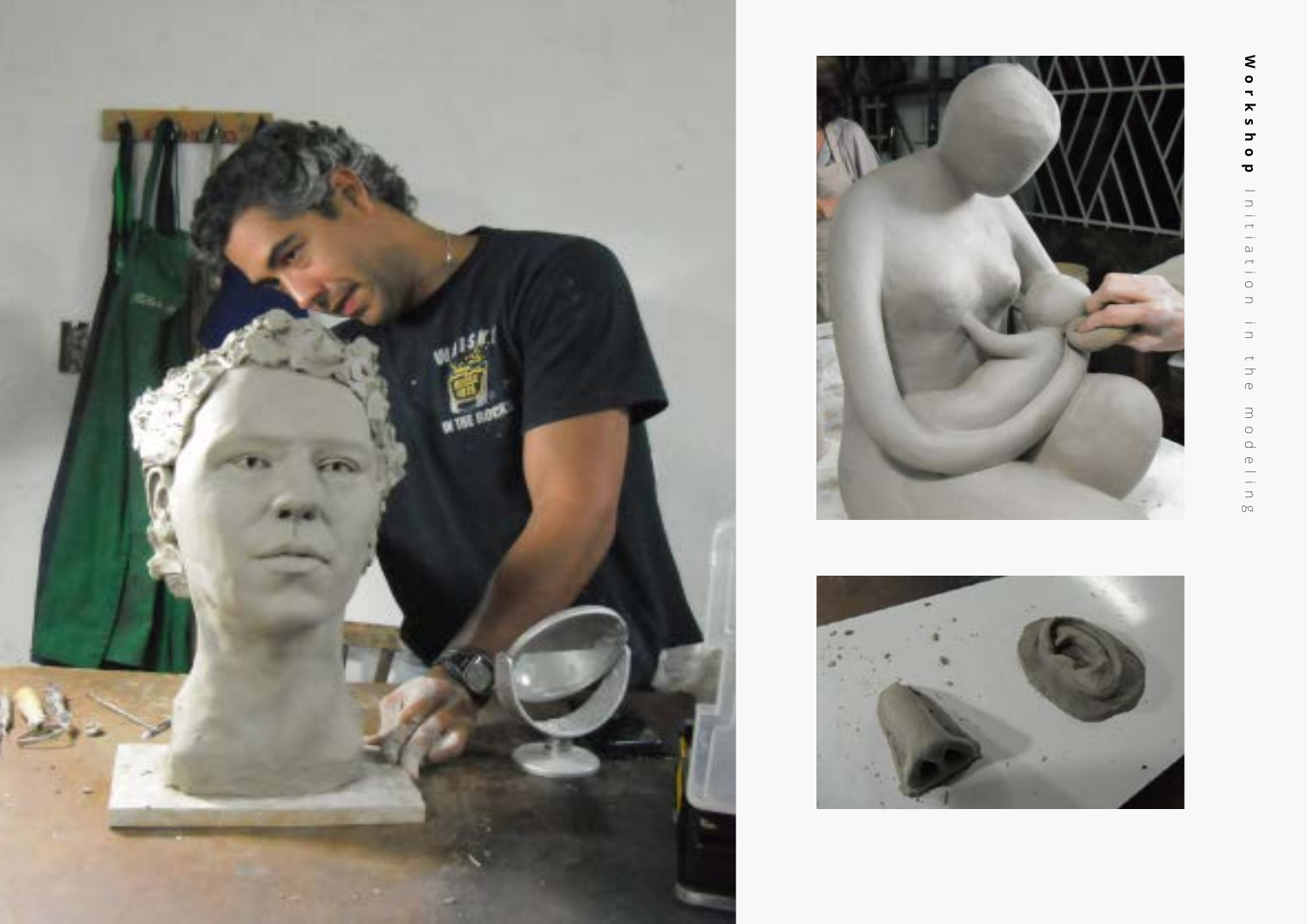



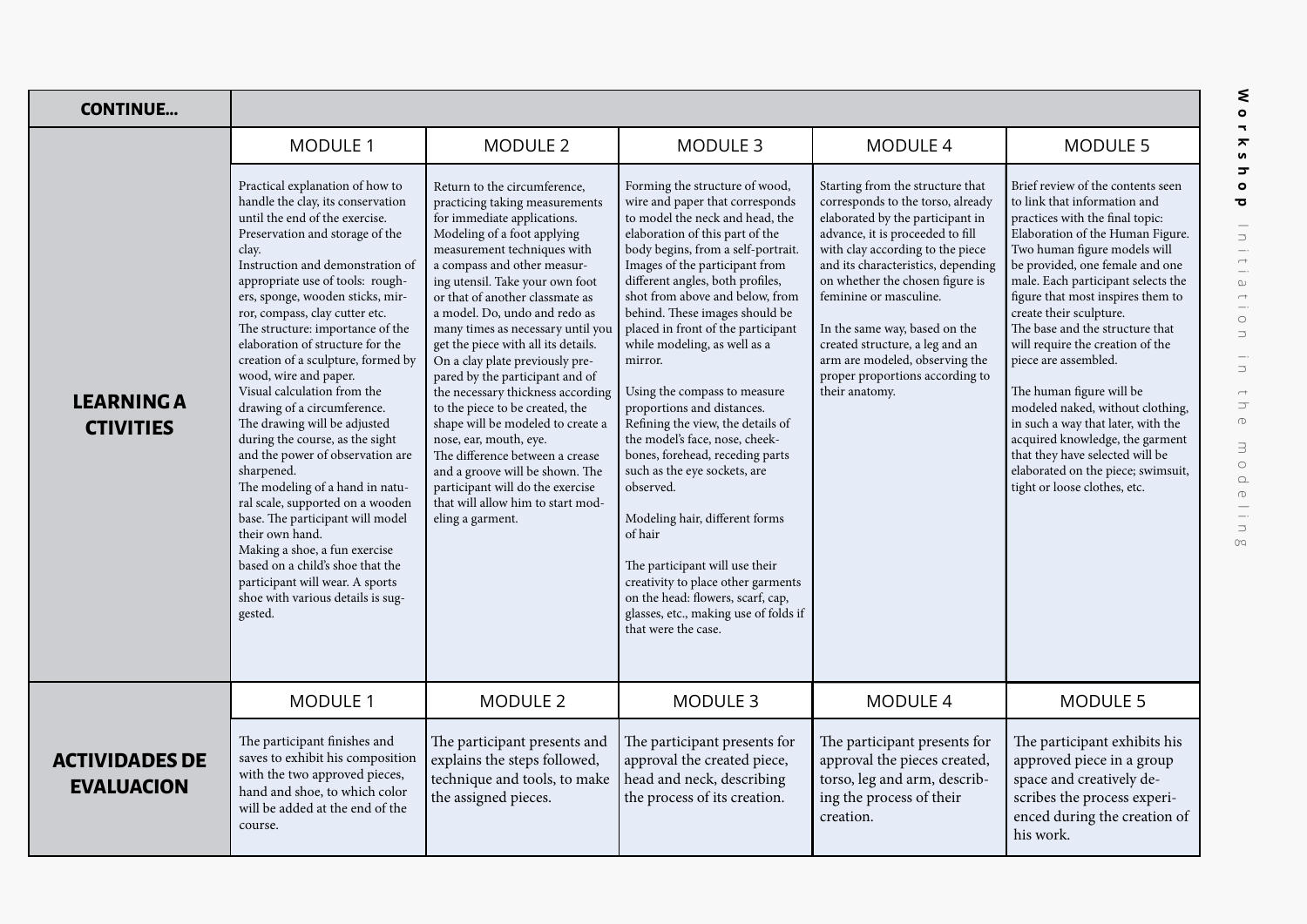| <b>CONTINUE</b>                            |                                                                                                                                                                                                                                                                                                                                                                                                                                                                                                                                                                                                                                                                                                                                                                                                                                                                                                                  |                                                                                                                                                                                                                                                                                                                                                                                                                                                                                                                                                                                                                                                                                                                                                               |                                                                                                                                                                                                                                                                                                                                                                                                                                                                                                                                                                                                                                                                                                                                                                                                                                                          |                                                                                                                                                                                                                                                                                                                                                                                                                                                 |                                                                                                                                                                                                                                                                                                                                                                                                                                                                                                                                                                                                                                                                    |
|--------------------------------------------|------------------------------------------------------------------------------------------------------------------------------------------------------------------------------------------------------------------------------------------------------------------------------------------------------------------------------------------------------------------------------------------------------------------------------------------------------------------------------------------------------------------------------------------------------------------------------------------------------------------------------------------------------------------------------------------------------------------------------------------------------------------------------------------------------------------------------------------------------------------------------------------------------------------|---------------------------------------------------------------------------------------------------------------------------------------------------------------------------------------------------------------------------------------------------------------------------------------------------------------------------------------------------------------------------------------------------------------------------------------------------------------------------------------------------------------------------------------------------------------------------------------------------------------------------------------------------------------------------------------------------------------------------------------------------------------|----------------------------------------------------------------------------------------------------------------------------------------------------------------------------------------------------------------------------------------------------------------------------------------------------------------------------------------------------------------------------------------------------------------------------------------------------------------------------------------------------------------------------------------------------------------------------------------------------------------------------------------------------------------------------------------------------------------------------------------------------------------------------------------------------------------------------------------------------------|-------------------------------------------------------------------------------------------------------------------------------------------------------------------------------------------------------------------------------------------------------------------------------------------------------------------------------------------------------------------------------------------------------------------------------------------------|--------------------------------------------------------------------------------------------------------------------------------------------------------------------------------------------------------------------------------------------------------------------------------------------------------------------------------------------------------------------------------------------------------------------------------------------------------------------------------------------------------------------------------------------------------------------------------------------------------------------------------------------------------------------|
|                                            | <b>MODULE 1</b>                                                                                                                                                                                                                                                                                                                                                                                                                                                                                                                                                                                                                                                                                                                                                                                                                                                                                                  | MODULE 2                                                                                                                                                                                                                                                                                                                                                                                                                                                                                                                                                                                                                                                                                                                                                      | MODULE 3                                                                                                                                                                                                                                                                                                                                                                                                                                                                                                                                                                                                                                                                                                                                                                                                                                                 | MODULE 4                                                                                                                                                                                                                                                                                                                                                                                                                                        | <b>MODULE 5</b>                                                                                                                                                                                                                                                                                                                                                                                                                                                                                                                                                                                                                                                    |
| <b>LEARNING A</b><br><b>CTIVITIES</b>      | Practical explanation of how to<br>handle the clay, its conservation<br>until the end of the exercise.<br>Preservation and storage of the<br>clay.<br>Instruction and demonstration of<br>appropriate use of tools: rough-<br>ers, sponge, wooden sticks, mir-<br>ror, compass, clay cutter etc.<br>The structure: importance of the<br>elaboration of structure for the<br>creation of a sculpture, formed by<br>wood, wire and paper.<br>Visual calculation from the<br>drawing of a circumference.<br>The drawing will be adjusted<br>during the course, as the sight<br>and the power of observation are<br>sharpened.<br>The modeling of a hand in natu-<br>ral scale, supported on a wooden<br>base. The participant will model<br>their own hand.<br>Making a shoe, a fun exercise<br>based on a child's shoe that the<br>participant will wear. A sports<br>shoe with various details is sug-<br>gested. | Return to the circumference,<br>practicing taking measurements<br>for immediate applications.<br>Modeling of a foot applying<br>measurement techniques with<br>a compass and other measur-<br>ing utensil. Take your own foot<br>or that of another classmate as<br>a model. Do, undo and redo as<br>many times as necessary until you<br>get the piece with all its details.<br>On a clay plate previously pre-<br>pared by the participant and of<br>the necessary thickness according<br>to the piece to be created, the<br>shape will be modeled to create a<br>nose, ear, mouth, eye.<br>The difference between a crease<br>and a groove will be shown. The<br>participant will do the exercise<br>that will allow him to start mod-<br>eling a garment. | Forming the structure of wood,<br>wire and paper that corresponds<br>to model the neck and head, the<br>elaboration of this part of the<br>body begins, from a self-portrait.<br>Images of the participant from<br>different angles, both profiles,<br>shot from above and below, from<br>behind. These images should be<br>placed in front of the participant<br>while modeling, as well as a<br>mirror.<br>Using the compass to measure<br>proportions and distances.<br>Refining the view, the details of<br>the model's face, nose, cheek-<br>bones, forehead, receding parts<br>such as the eye sockets, are<br>observed.<br>Modeling hair, different forms<br>of hair<br>The participant will use their<br>creativity to place other garments<br>on the head: flowers, scarf, cap,<br>glasses, etc., making use of folds if<br>that were the case. | Starting from the structure that<br>corresponds to the torso, already<br>elaborated by the participant in<br>advance, it is proceeded to fill<br>with clay according to the piece<br>and its characteristics, depending<br>on whether the chosen figure is<br>feminine or masculine.<br>In the same way, based on the<br>created structure, a leg and an<br>arm are modeled, observing the<br>proper proportions according to<br>their anatomy. | Brief review of the contents seen<br>to link that information and<br>practices with the final topic:<br>Elaboration of the Human Figure.<br>Two human figure models will<br>be provided, one female and one<br>male. Each participant selects the<br>figure that most inspires them to<br>create their sculpture.<br>The base and the structure that<br>will require the creation of the<br>piece are assembled.<br>The human figure will be<br>modeled naked, without clothing,<br>in such a way that later, with the<br>acquired knowledge, the garment<br>that they have selected will be<br>elaborated on the piece; swimsuit,<br>tight or loose clothes, etc. |
| <b>ACTIVIDADES DE</b><br><b>EVALUACION</b> | <b>MODULE 1</b>                                                                                                                                                                                                                                                                                                                                                                                                                                                                                                                                                                                                                                                                                                                                                                                                                                                                                                  | MODULE 2                                                                                                                                                                                                                                                                                                                                                                                                                                                                                                                                                                                                                                                                                                                                                      | <b>MODULE 3</b>                                                                                                                                                                                                                                                                                                                                                                                                                                                                                                                                                                                                                                                                                                                                                                                                                                          | <b>MODULE 4</b>                                                                                                                                                                                                                                                                                                                                                                                                                                 | <b>MODULE 5</b>                                                                                                                                                                                                                                                                                                                                                                                                                                                                                                                                                                                                                                                    |
|                                            | The participant finishes and<br>saves to exhibit his composition<br>with the two approved pieces,<br>hand and shoe, to which color<br>will be added at the end of the<br>course.                                                                                                                                                                                                                                                                                                                                                                                                                                                                                                                                                                                                                                                                                                                                 | The participant presents and<br>explains the steps followed,<br>technique and tools, to make<br>the assigned pieces.                                                                                                                                                                                                                                                                                                                                                                                                                                                                                                                                                                                                                                          | The participant presents for<br>approval the created piece,<br>head and neck, describing<br>the process of its creation.                                                                                                                                                                                                                                                                                                                                                                                                                                                                                                                                                                                                                                                                                                                                 | The participant presents for<br>approval the pieces created,<br>torso, leg and arm, describ-<br>ing the process of their<br>creation.                                                                                                                                                                                                                                                                                                           | The participant exhibits his<br>approved piece in a group<br>space and creatively de-<br>scribes the process experi-<br>enced during the creation of<br>his work.                                                                                                                                                                                                                                                                                                                                                                                                                                                                                                  |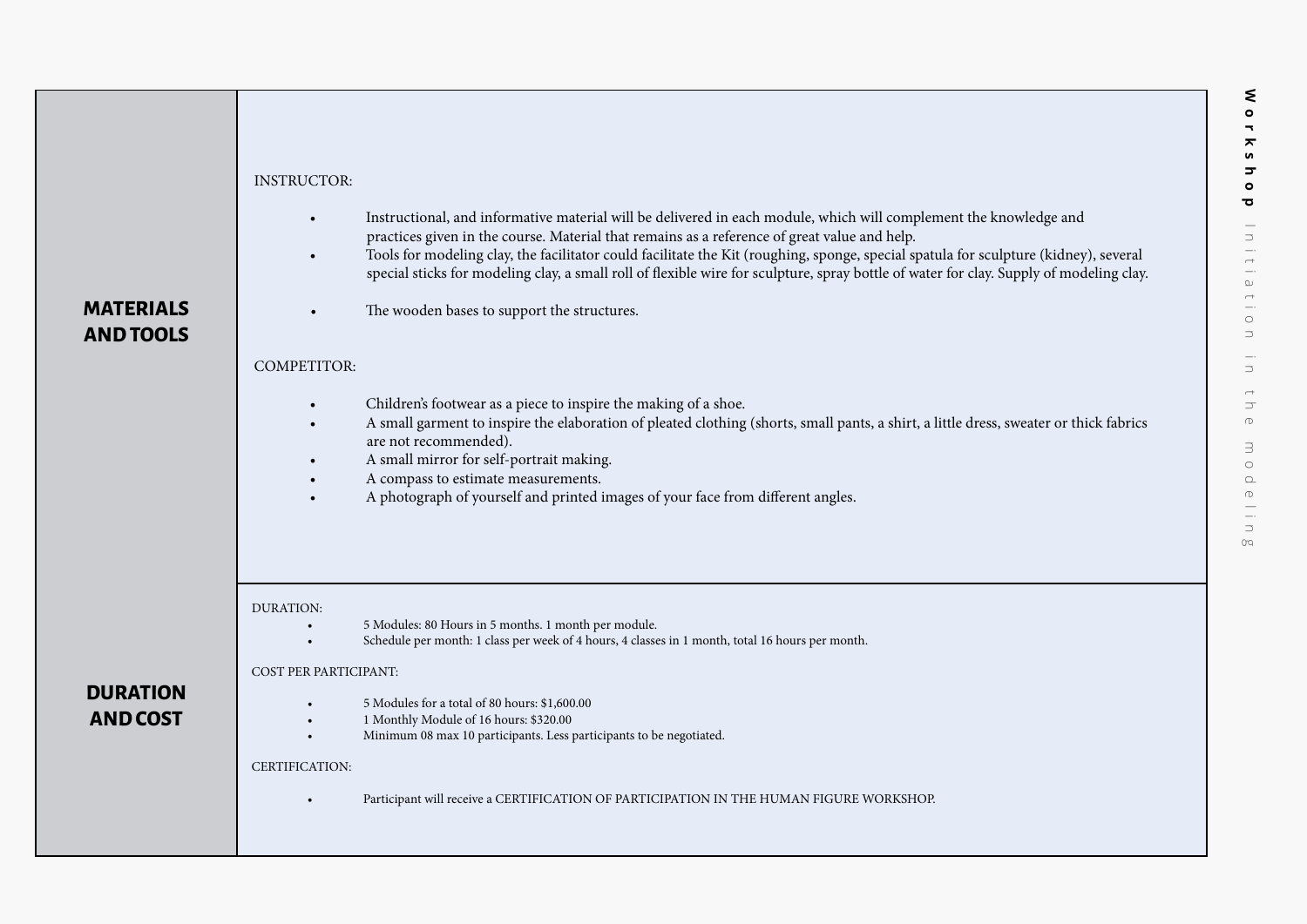| <b>MATERIALS</b><br><b>AND TOOLS</b> | <b>INSTRUCTOR:</b><br>Instructional, and informative material will be delivered in each module, which will complement the knowledge and<br>$\bullet$<br>practices given in the course. Material that remains as a reference of great value and help.<br>Tools for modeling clay, the facilitator could facilitate the Kit (roughing, sponge, special spatula for sculpture (kidney), several<br>$\bullet$<br>special sticks for modeling clay, a small roll of flexible wire for sculpture, spray bottle of water for clay. Supply of modeling clay.<br>The wooden bases to support the structures. |
|--------------------------------------|-----------------------------------------------------------------------------------------------------------------------------------------------------------------------------------------------------------------------------------------------------------------------------------------------------------------------------------------------------------------------------------------------------------------------------------------------------------------------------------------------------------------------------------------------------------------------------------------------------|
|                                      | COMPETITOR:                                                                                                                                                                                                                                                                                                                                                                                                                                                                                                                                                                                         |
|                                      | Children's footwear as a piece to inspire the making of a shoe.<br>A small garment to inspire the elaboration of pleated clothing (shorts, small pants, a shirt, a little dress, sweater or thick fabrics<br>$\bullet$<br>are not recommended).<br>A small mirror for self-portrait making.<br>A compass to estimate measurements.<br>A photograph of yourself and printed images of your face from different angles.                                                                                                                                                                               |
|                                      |                                                                                                                                                                                                                                                                                                                                                                                                                                                                                                                                                                                                     |
|                                      | <b>DURATION:</b><br>5 Modules: 80 Hours in 5 months. 1 month per module.<br>Schedule per month: 1 class per week of 4 hours, 4 classes in 1 month, total 16 hours per month.                                                                                                                                                                                                                                                                                                                                                                                                                        |
|                                      | <b>COST PER PARTICIPANT:</b>                                                                                                                                                                                                                                                                                                                                                                                                                                                                                                                                                                        |
| <b>DURATION</b><br><b>AND COST</b>   | 5 Modules for a total of 80 hours: \$1,600.00<br>1 Monthly Module of 16 hours: \$320.00<br>Minimum 08 max 10 participants. Less participants to be negotiated.                                                                                                                                                                                                                                                                                                                                                                                                                                      |
|                                      |                                                                                                                                                                                                                                                                                                                                                                                                                                                                                                                                                                                                     |
|                                      | CERTIFICATION:                                                                                                                                                                                                                                                                                                                                                                                                                                                                                                                                                                                      |
|                                      | Participant will receive a CERTIFICATION OF PARTICIPATION IN THE HUMAN FIGURE WORKSHOP.                                                                                                                                                                                                                                                                                                                                                                                                                                                                                                             |
|                                      |                                                                                                                                                                                                                                                                                                                                                                                                                                                                                                                                                                                                     |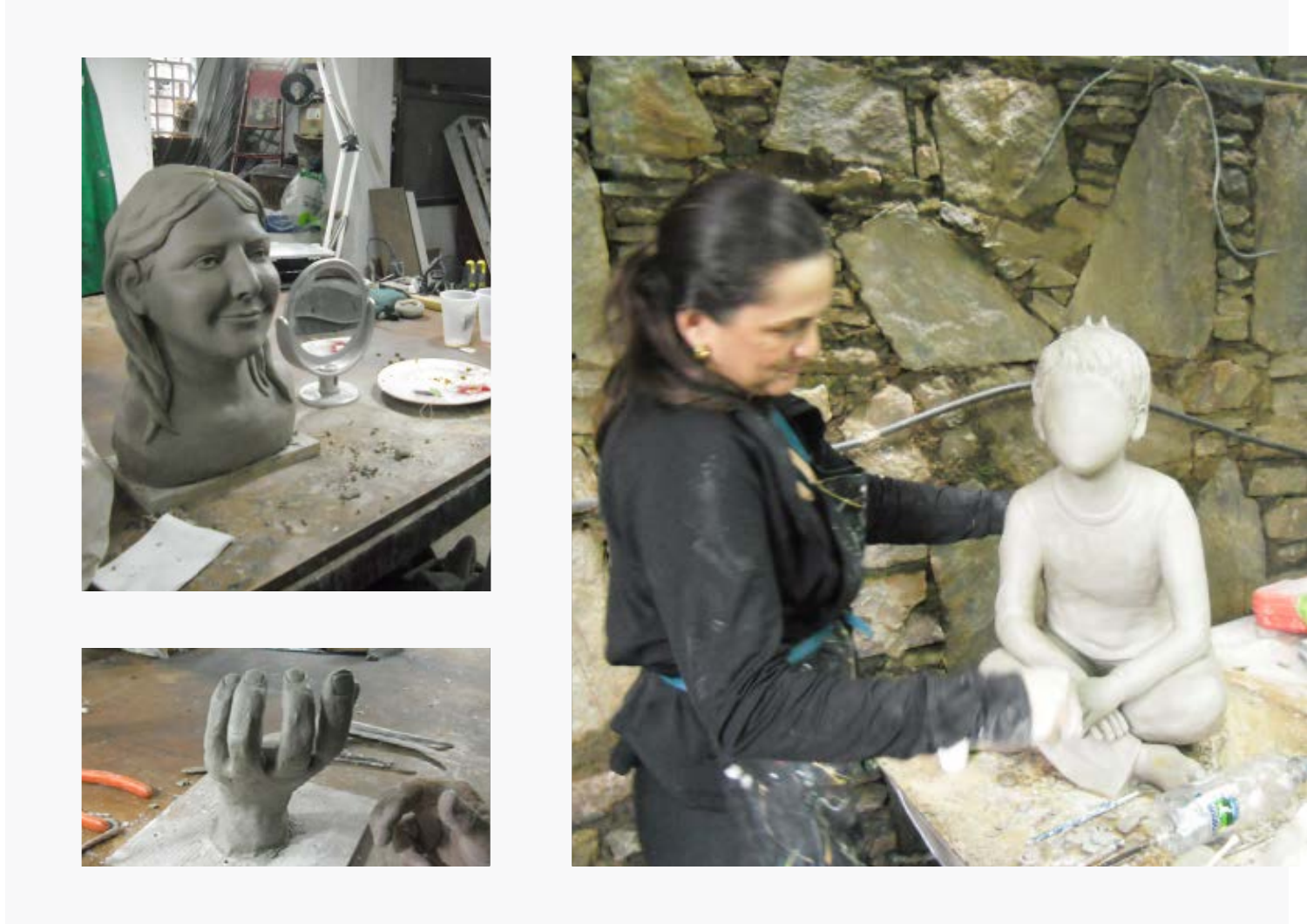



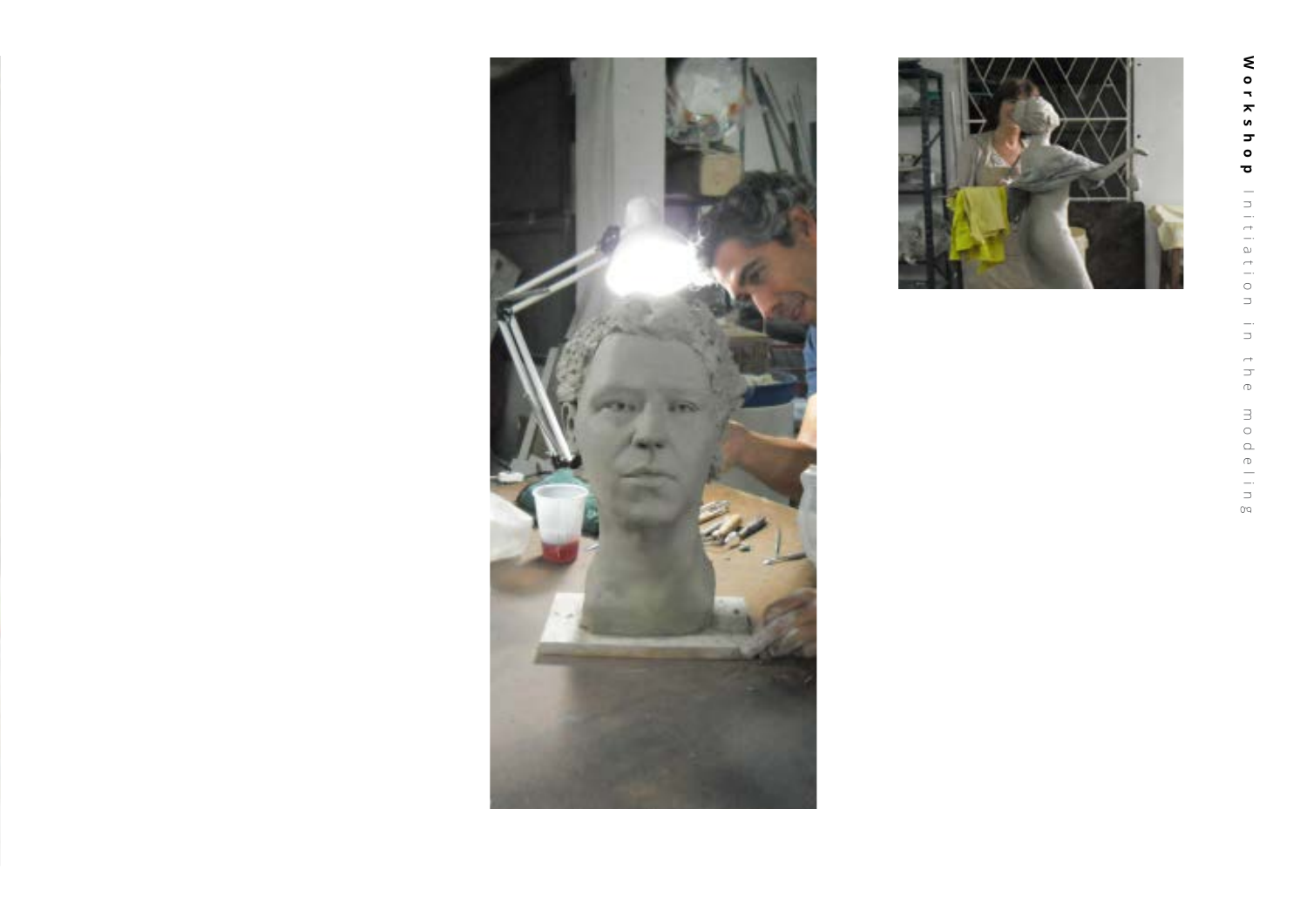



**Workshop**

 $\overline{\phantom{a}}$ 

 $\overline{\phantom{a}}$  n i $\overline{\phantom{m}}$  i a t i on

 n $\rightarrow$  h**D** 

 o d e $\Box$  n $0<sup>o</sup>$